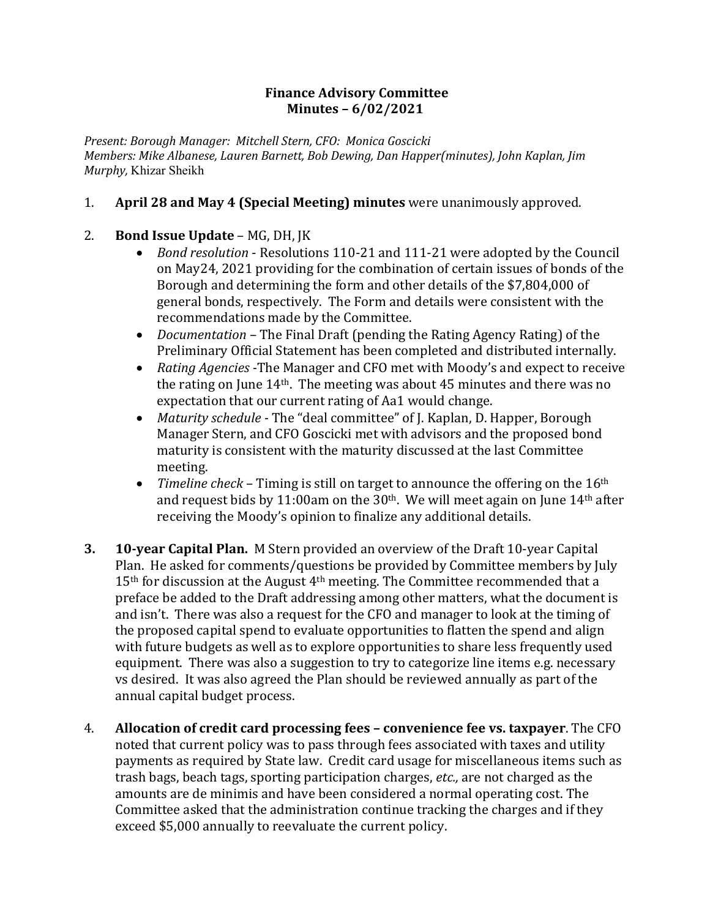## **Finance Advisory Committee Minutes – 6/02/2021**

Present: Borough Manager: Mitchell Stern, CFO: Monica Goscicki *Members: Mike Albanese, Lauren Barnett, Bob Dewing, Dan Happer(minutes), John Kaplan, Jim Murphy,* Khizar Sheikh

## 1. **April 28 and May 4 (Special Meeting) minutes** were unanimously approved.

## 2. **Bond Issue Update** – MG, DH, JK

- *Bond resolution* Resolutions 110-21 and 111-21 were adopted by the Council on May24, 2021 providing for the combination of certain issues of bonds of the Borough and determining the form and other details of the \$7,804,000 of general bonds, respectively. The Form and details were consistent with the recommendations made by the Committee.
- *Documentation* The Final Draft (pending the Rating Agency Rating) of the Preliminary Official Statement has been completed and distributed internally.
- *Rating Agencies* The Manager and CFO met with Moody's and expect to receive the rating on June  $14<sup>th</sup>$ . The meeting was about 45 minutes and there was no expectation that our current rating of Aa1 would change.
- *Maturity schedule* The "deal committee" of J. Kaplan, D. Happer, Borough Manager Stern, and CFO Goscicki met with advisors and the proposed bond maturity is consistent with the maturity discussed at the last Committee meeting.
- *Timeline check* Timing is still on target to announce the offering on the 16<sup>th</sup> and request bids by 11:00am on the  $30<sup>th</sup>$ . We will meet again on June  $14<sup>th</sup>$  after receiving the Moody's opinion to finalize any additional details.
- **3. 10-year Capital Plan.** M Stern provided an overview of the Draft 10-year Capital Plan. He asked for comments/questions be provided by Committee members by July  $15<sup>th</sup>$  for discussion at the August  $4<sup>th</sup>$  meeting. The Committee recommended that a preface be added to the Draft addressing among other matters, what the document is and isn't. There was also a request for the CFO and manager to look at the timing of the proposed capital spend to evaluate opportunities to flatten the spend and align with future budgets as well as to explore opportunities to share less frequently used equipment. There was also a suggestion to try to categorize line items e.g. necessary vs desired. It was also agreed the Plan should be reviewed annually as part of the annual capital budget process.
- 4. **Allocation of credit card processing fees convenience fee vs. taxpayer.** The CFO noted that current policy was to pass through fees associated with taxes and utility payments as required by State law. Credit card usage for miscellaneous items such as trash bags, beach tags, sporting participation charges, *etc.*, are not charged as the amounts are de minimis and have been considered a normal operating cost. The Committee asked that the administration continue tracking the charges and if they exceed \$5,000 annually to reevaluate the current policy.